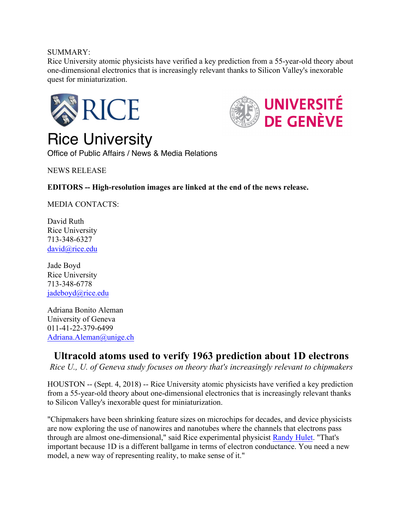## SUMMARY:

Rice University atomic physicists have verified a key prediction from a 55-year-old theory about one-dimensional electronics that is increasingly relevant thanks to Silicon Valley's inexorable quest for miniaturization.



Rice University

**UNIVERSITÉ DE GENÈVE** 

Office of Public Affairs / News & Media Relations

NEWS RELEASE

**EDITORS -- High-resolution images are linked at the end of the news release.**

MEDIA CONTACTS:

David Ruth Rice University 713-348-6327 david@rice.edu

Jade Boyd Rice University 713-348-6778 jadeboyd@rice.edu

Adriana Bonito Aleman University of Geneva 011-41-22-379-6499 Adriana.Aleman@unige.ch

# **Ultracold atoms used to verify 1963 prediction about 1D electrons**

*Rice U., U. of Geneva study focuses on theory that's increasingly relevant to chipmakers*

HOUSTON -- (Sept. 4, 2018) -- Rice University atomic physicists have verified a key prediction from a 55-year-old theory about one-dimensional electronics that is increasingly relevant thanks to Silicon Valley's inexorable quest for miniaturization.

"Chipmakers have been shrinking feature sizes on microchips for decades, and device physicists are now exploring the use of nanowires and nanotubes where the channels that electrons pass through are almost one-dimensional," said Rice experimental physicist Randy Hulet. "That's important because 1D is a different ballgame in terms of electron conductance. You need a new model, a new way of representing reality, to make sense of it."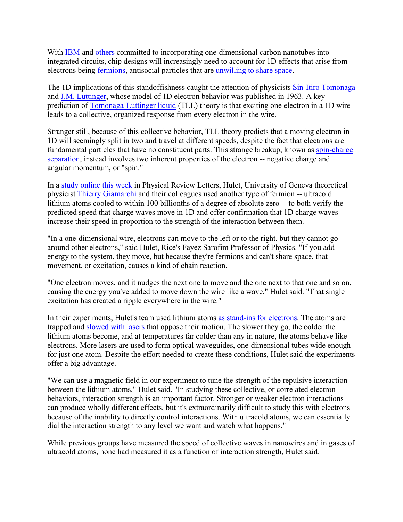With IBM and others committed to incorporating one-dimensional carbon nanotubes into integrated circuits, chip designs will increasingly need to account for 1D effects that arise from electrons being fermions, antisocial particles that are unwilling to share space.

The 1D implications of this standoffishness caught the attention of physicists Sin-Itiro Tomonaga and J.M. Luttinger, whose model of 1D electron behavior was published in 1963. A key prediction of Tomonaga-Luttinger liquid (TLL) theory is that exciting one electron in a 1D wire leads to a collective, organized response from every electron in the wire.

Stranger still, because of this collective behavior, TLL theory predicts that a moving electron in 1D will seemingly split in two and travel at different speeds, despite the fact that electrons are fundamental particles that have no constituent parts. This strange breakup, known as spin-charge separation, instead involves two inherent properties of the electron -- negative charge and angular momentum, or "spin."

In a study online this week in Physical Review Letters, Hulet, University of Geneva theoretical physicist Thierry Giamarchi and their colleagues used another type of fermion -- ultracold lithium atoms cooled to within 100 billionths of a degree of absolute zero -- to both verify the predicted speed that charge waves move in 1D and offer confirmation that 1D charge waves increase their speed in proportion to the strength of the interaction between them.

"In a one-dimensional wire, electrons can move to the left or to the right, but they cannot go around other electrons," said Hulet, Rice's Fayez Sarofim Professor of Physics. "If you add energy to the system, they move, but because they're fermions and can't share space, that movement, or excitation, causes a kind of chain reaction.

"One electron moves, and it nudges the next one to move and the one next to that one and so on, causing the energy you've added to move down the wire like a wave," Hulet said. "That single excitation has created a ripple everywhere in the wire."

In their experiments, Hulet's team used lithium atoms as stand-ins for electrons. The atoms are trapped and slowed with lasers that oppose their motion. The slower they go, the colder the lithium atoms become, and at temperatures far colder than any in nature, the atoms behave like electrons. More lasers are used to form optical waveguides, one-dimensional tubes wide enough for just one atom. Despite the effort needed to create these conditions, Hulet said the experiments offer a big advantage.

"We can use a magnetic field in our experiment to tune the strength of the repulsive interaction between the lithium atoms," Hulet said. "In studying these collective, or correlated electron behaviors, interaction strength is an important factor. Stronger or weaker electron interactions can produce wholly different effects, but it's extraordinarily difficult to study this with electrons because of the inability to directly control interactions. With ultracold atoms, we can essentially dial the interaction strength to any level we want and watch what happens."

While previous groups have measured the speed of collective waves in nanowires and in gases of ultracold atoms, none had measured it as a function of interaction strength, Hulet said.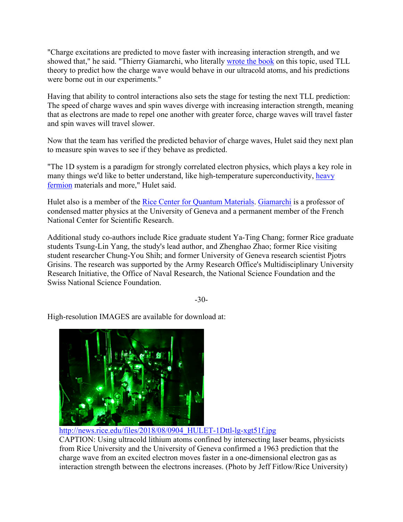"Charge excitations are predicted to move faster with increasing interaction strength, and we showed that," he said. "Thierry Giamarchi, who literally wrote the book on this topic, used TLL theory to predict how the charge wave would behave in our ultracold atoms, and his predictions were borne out in our experiments."

Having that ability to control interactions also sets the stage for testing the next TLL prediction: The speed of charge waves and spin waves diverge with increasing interaction strength, meaning that as electrons are made to repel one another with greater force, charge waves will travel faster and spin waves will travel slower.

Now that the team has verified the predicted behavior of charge waves, Hulet said they next plan to measure spin waves to see if they behave as predicted.

"The 1D system is a paradigm for strongly correlated electron physics, which plays a key role in many things we'd like to better understand, like high-temperature superconductivity, heavy fermion materials and more," Hulet said.

Hulet also is a member of the Rice Center for Quantum Materials. Giamarchi is a professor of condensed matter physics at the University of Geneva and a permanent member of the French National Center for Scientific Research.

Additional study co-authors include Rice graduate student Ya-Ting Chang; former Rice graduate students Tsung-Lin Yang, the study's lead author, and Zhenghao Zhao; former Rice visiting student researcher Chung-You Shih; and former University of Geneva research scientist Pjotrs Grisins. The research was supported by the Army Research Office's Multidisciplinary University Research Initiative, the Office of Naval Research, the National Science Foundation and the Swiss National Science Foundation.

-30-

High-resolution IMAGES are available for download at:



http://news.rice.edu/files/2018/08/0904\_HULET-1Dttl-lg-xgt51f.jpg CAPTION: Using ultracold lithium atoms confined by intersecting laser beams, physicists from Rice University and the University of Geneva confirmed a 1963 prediction that the charge wave from an excited electron moves faster in a one-dimensional electron gas as interaction strength between the electrons increases. (Photo by Jeff Fitlow/Rice University)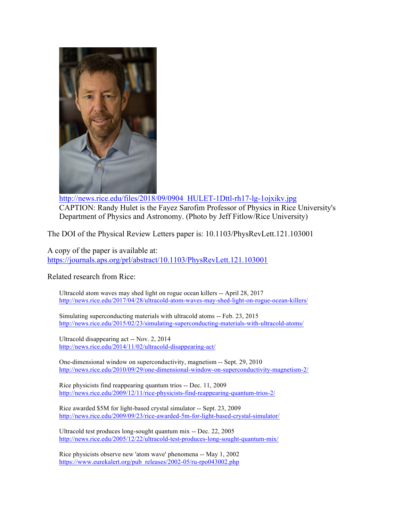

http://news.rice.edu/files/2018/09/0904\_HULET-1Dttl-rh17-lg-1ojxikv.jpg CAPTION: Randy Hulet is the Fayez Sarofim Professor of Physics in Rice University's Department of Physics and Astronomy. (Photo by Jeff Fitlow/Rice University)

The DOI of the Physical Review Letters paper is: 10.1103/PhysRevLett.121.103001

A copy of the paper is available at: https://journals.aps.org/prl/abstract/10.1103/PhysRevLett.121.103001

## Related research from Rice:

Ultracold atom waves may shed light on rogue ocean killers -- April 28, 2017 http://news.rice.edu/2017/04/28/ultracold-atom-waves-may-shed-light-on-rogue-ocean-killers/

Simulating superconducting materials with ultracold atoms -- Feb. 23, 2015 http://news.rice.edu/2015/02/23/simulating-superconducting-materials-with-ultracold-atoms/

Ultracold disappearing act -- Nov. 2, 2014 http://news.rice.edu/2014/11/02/ultracold-disappearing-act/

One-dimensional window on superconductivity, magnetism -- Sept. 29, 2010 http://news.rice.edu/2010/09/29/one-dimensional-window-on-superconductivity-magnetism-2/

Rice physicists find reappearing quantum trios -- Dec. 11, 2009 http://news.rice.edu/2009/12/11/rice-physicists-find-reappearing-quantum-trios-2/

Rice awarded \$5M for light-based crystal simulator -- Sept. 23, 2009 http://news.rice.edu/2009/09/23/rice-awarded-5m-for-light-based-crystal-simulator/

Ultracold test produces long-sought quantum mix -- Dec. 22, 2005 http://news.rice.edu/2005/12/22/ultracold-test-produces-long-sought-quantum-mix/

Rice physicists observe new 'atom wave' phenomena -- May 1, 2002 https://www.eurekalert.org/pub\_releases/2002-05/ru-rpo043002.php